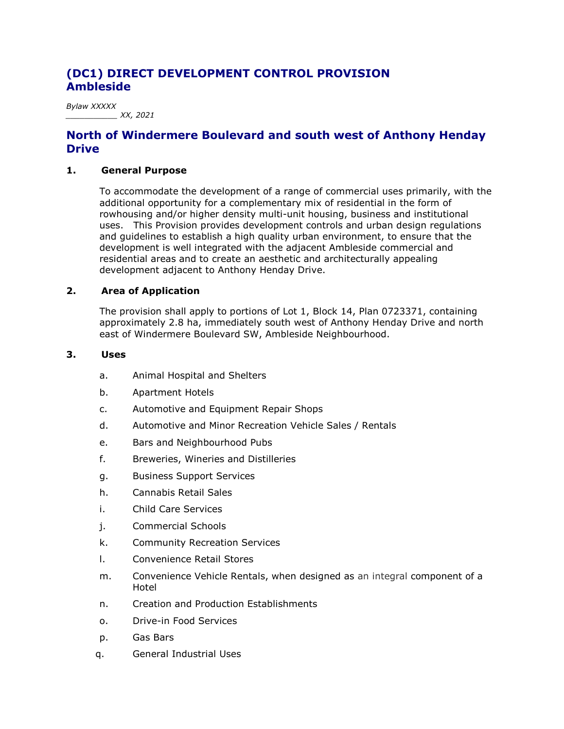# **(DC1) DIRECT DEVELOPMENT CONTROL PROVISION Ambleside**

*Bylaw XXXXX \_\_\_\_\_\_\_\_\_\_\_ XX, 2021*

# **North of Windermere Boulevard and south west of Anthony Henday Drive**

#### **1. General Purpose**

To accommodate the development of a range of commercial uses primarily, with the additional opportunity for a complementary mix of residential in the form of rowhousing and/or higher density multi-unit housing, business and institutional uses. This Provision provides development controls and urban design regulations and guidelines to establish a high quality urban environment, to ensure that the development is well integrated with the adjacent Ambleside commercial and residential areas and to create an aesthetic and architecturally appealing development adjacent to Anthony Henday Drive.

### **2. Area of Application**

The provision shall apply to portions of Lot 1, Block 14, Plan 0723371, containing approximately 2.8 ha, immediately south west of Anthony Henday Drive and north east of Windermere Boulevard SW, Ambleside Neighbourhood.

#### **3. Uses**

- a. Animal Hospital and Shelters
- b. Apartment Hotels
- c. Automotive and Equipment Repair Shops
- d. Automotive and Minor Recreation Vehicle Sales / Rentals
- e. Bars and Neighbourhood Pubs
- f. Breweries, Wineries and Distilleries
- g. Business Support Services
- h. Cannabis Retail Sales
- i. Child Care Services
- j. Commercial Schools
- k. Community Recreation Services
- l. Convenience Retail Stores
- m. Convenience Vehicle Rentals, when designed as an integral component of a Hotel
- n. Creation and Production Establishments
- o. Drive-in Food Services
- p. Gas Bars
- q. General Industrial Uses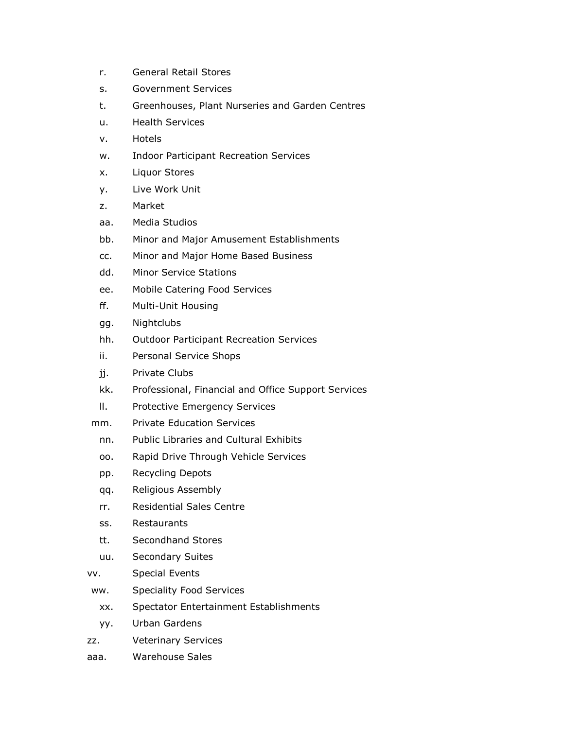- r. General Retail Stores
- s. Government Services
- t. Greenhouses, Plant Nurseries and Garden Centres
- u. Health Services
- v. Hotels
- w. Indoor Participant Recreation Services
- x. Liquor Stores
- y. Live Work Unit
- z. Market
- aa. Media Studios
- bb. Minor and Major Amusement Establishments
- cc. Minor and Major Home Based Business
- dd. Minor Service Stations
- ee. Mobile Catering Food Services
- ff. Multi-Unit Housing
- gg. Nightclubs
- hh. Outdoor Participant Recreation Services
- ii. Personal Service Shops
- jj. Private Clubs
- kk. Professional, Financial and Office Support Services
- ll. Protective Emergency Services
- mm. Private Education Services
	- nn. Public Libraries and Cultural Exhibits
	- oo. Rapid Drive Through Vehicle Services
	- pp. Recycling Depots
	- qq. Religious Assembly
	- rr. Residential Sales Centre
	- ss. Restaurants
	- tt. Secondhand Stores
	- uu. Secondary Suites
- vv. Special Events
- ww. Speciality Food Services
	- xx. Spectator Entertainment Establishments
	- yy. Urban Gardens
- zz. Veterinary Services
- aaa. Warehouse Sales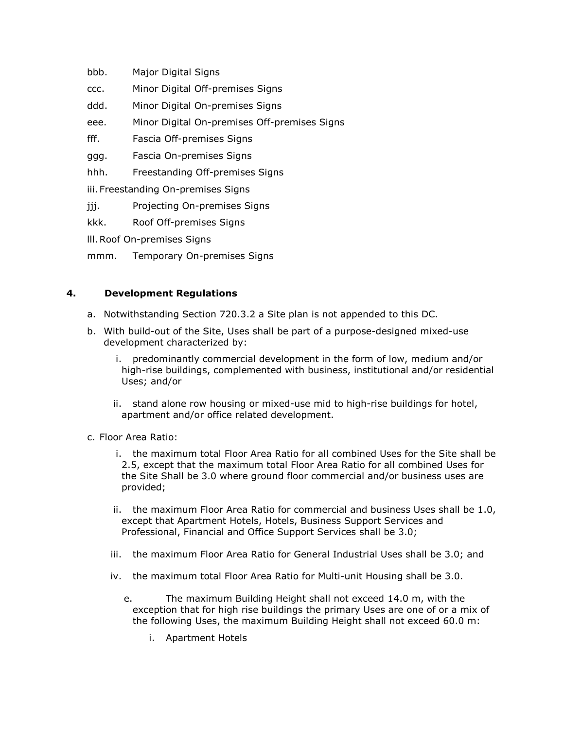- bbb. Major Digital Signs
- ccc. Minor Digital Off-premises Signs
- ddd. Minor Digital On-premises Signs
- eee. Minor Digital On-premises Off-premises Signs
- fff. Fascia Off-premises Signs
- ggg. Fascia On-premises Signs
- hhh. Freestanding Off-premises Signs
- iii.Freestanding On-premises Signs
- jjj. Projecting On-premises Signs
- kkk. Roof Off-premises Signs
- lll.Roof On-premises Signs
- mmm. Temporary On-premises Signs

## **4. Development Regulations**

- a. Notwithstanding Section 720.3.2 a Site plan is not appended to this DC.
- b. With build-out of the Site, Uses shall be part of a purpose-designed mixed-use development characterized by:
	- i. predominantly commercial development in the form of low, medium and/or high-rise buildings, complemented with business, institutional and/or residential Uses; and/or
	- ii. stand alone row housing or mixed-use mid to high-rise buildings for hotel, apartment and/or office related development.
- c. Floor Area Ratio:
	- i. the maximum total Floor Area Ratio for all combined Uses for the Site shall be 2.5, except that the maximum total Floor Area Ratio for all combined Uses for the Site Shall be 3.0 where ground floor commercial and/or business uses are provided;
	- ii. the maximum Floor Area Ratio for commercial and business Uses shall be 1.0, except that Apartment Hotels, Hotels, Business Support Services and Professional, Financial and Office Support Services shall be 3.0;
	- iii. the maximum Floor Area Ratio for General Industrial Uses shall be 3.0; and
	- iv. the maximum total Floor Area Ratio for Multi-unit Housing shall be 3.0.
		- e. The maximum Building Height shall not exceed 14.0 m, with the exception that for high rise buildings the primary Uses are one of or a mix of the following Uses, the maximum Building Height shall not exceed 60.0 m:
			- i. Apartment Hotels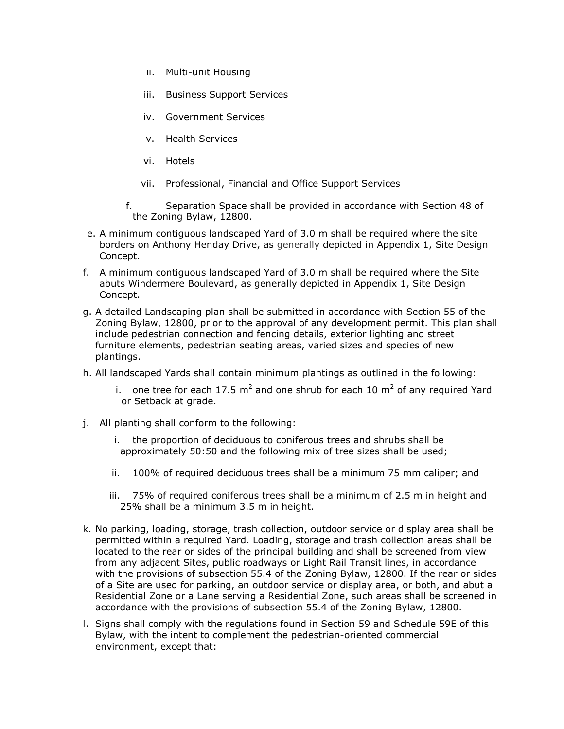- ii. Multi-unit Housing
- iii. Business Support Services
- iv. Government Services
- v. Health Services
- vi. Hotels
- vii. Professional, Financial and Office Support Services
- f. Separation Space shall be provided in accordance with Section 48 of the Zoning Bylaw, 12800.
- e. A minimum contiguous landscaped Yard of 3.0 m shall be required where the site borders on Anthony Henday Drive, as generally depicted in Appendix 1, Site Design Concept.
- f. A minimum contiguous landscaped Yard of 3.0 m shall be required where the Site abuts Windermere Boulevard, as generally depicted in Appendix 1, Site Design Concept.
- g. A detailed Landscaping plan shall be submitted in accordance with Section 55 of the Zoning Bylaw, 12800, prior to the approval of any development permit. This plan shall include pedestrian connection and fencing details, exterior lighting and street furniture elements, pedestrian seating areas, varied sizes and species of new plantings.
- h. All landscaped Yards shall contain minimum plantings as outlined in the following:
	- i. one tree for each 17.5  $m^2$  and one shrub for each 10  $m^2$  of any required Yard or Setback at grade.
- j. All planting shall conform to the following:
	- the proportion of deciduous to coniferous trees and shrubs shall be approximately 50:50 and the following mix of tree sizes shall be used;
	- ii. 100% of required deciduous trees shall be a minimum 75 mm caliper; and
	- iii. 75% of required coniferous trees shall be a minimum of 2.5 m in height and 25% shall be a minimum 3.5 m in height.
- k. No parking, loading, storage, trash collection, outdoor service or display area shall be permitted within a required Yard. Loading, storage and trash collection areas shall be located to the rear or sides of the principal building and shall be screened from view from any adjacent Sites, public roadways or Light Rail Transit lines, in accordance with the provisions of subsection 55.4 of the Zoning Bylaw, 12800. If the rear or sides of a Site are used for parking, an outdoor service or display area, or both, and abut a Residential Zone or a Lane serving a Residential Zone, such areas shall be screened in accordance with the provisions of subsection 55.4 of the Zoning Bylaw, 12800.
- l. Signs shall comply with the regulations found in Section 59 and Schedule 59E of this Bylaw, with the intent to complement the pedestrian-oriented commercial environment, except that: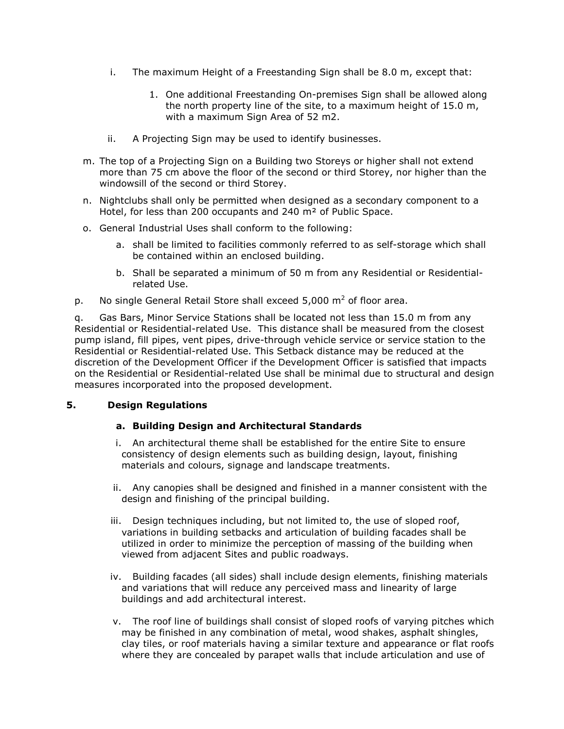- i. The maximum Height of a Freestanding Sign shall be 8.0 m, except that:
	- 1. One additional Freestanding On-premises Sign shall be allowed along the north property line of the site, to a maximum height of 15.0 m, with a maximum Sign Area of 52 m2.
- ii. A Projecting Sign may be used to identify businesses.
- m. The top of a Projecting Sign on a Building two Storeys or higher shall not extend more than 75 cm above the floor of the second or third Storey, nor higher than the windowsill of the second or third Storey.
- n. Nightclubs shall only be permitted when designed as a secondary component to a Hotel, for less than 200 occupants and 240 m<sup>2</sup> of Public Space.
- o. General Industrial Uses shall conform to the following:
	- a. shall be limited to facilities commonly referred to as self-storage which shall be contained within an enclosed building.
	- b. Shall be separated a minimum of 50 m from any Residential or Residentialrelated Use.
- p. No single General Retail Store shall exceed  $5,000 \text{ m}^2$  of floor area.

q. Gas Bars, Minor Service Stations shall be located not less than 15.0 m from any Residential or Residential-related Use. This distance shall be measured from the closest pump island, fill pipes, vent pipes, drive-through vehicle service or service station to the Residential or Residential-related Use. This Setback distance may be reduced at the discretion of the Development Officer if the Development Officer is satisfied that impacts on the Residential or Residential-related Use shall be minimal due to structural and design measures incorporated into the proposed development.

## **5. Design Regulations**

#### **a. Building Design and Architectural Standards**

- i. An architectural theme shall be established for the entire Site to ensure consistency of design elements such as building design, layout, finishing materials and colours, signage and landscape treatments.
- ii. Any canopies shall be designed and finished in a manner consistent with the design and finishing of the principal building.
- iii. Design techniques including, but not limited to, the use of sloped roof, variations in building setbacks and articulation of building facades shall be utilized in order to minimize the perception of massing of the building when viewed from adjacent Sites and public roadways.
- iv. Building facades (all sides) shall include design elements, finishing materials and variations that will reduce any perceived mass and linearity of large buildings and add architectural interest.
- v. The roof line of buildings shall consist of sloped roofs of varying pitches which may be finished in any combination of metal, wood shakes, asphalt shingles, clay tiles, or roof materials having a similar texture and appearance or flat roofs where they are concealed by parapet walls that include articulation and use of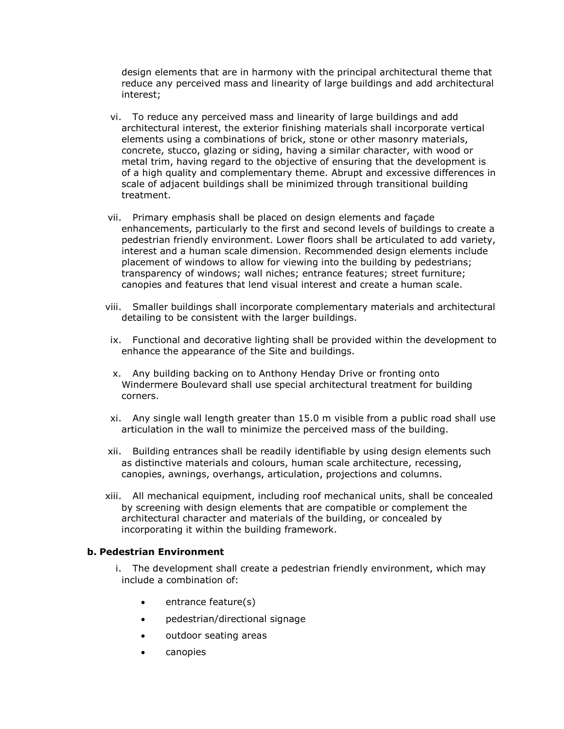design elements that are in harmony with the principal architectural theme that reduce any perceived mass and linearity of large buildings and add architectural interest;

- vi. To reduce any perceived mass and linearity of large buildings and add architectural interest, the exterior finishing materials shall incorporate vertical elements using a combinations of brick, stone or other masonry materials, concrete, stucco, glazing or siding, having a similar character, with wood or metal trim, having regard to the objective of ensuring that the development is of a high quality and complementary theme. Abrupt and excessive differences in scale of adjacent buildings shall be minimized through transitional building treatment.
- vii. Primary emphasis shall be placed on design elements and façade enhancements, particularly to the first and second levels of buildings to create a pedestrian friendly environment. Lower floors shall be articulated to add variety, interest and a human scale dimension. Recommended design elements include placement of windows to allow for viewing into the building by pedestrians; transparency of windows; wall niches; entrance features; street furniture; canopies and features that lend visual interest and create a human scale.
- viii. Smaller buildings shall incorporate complementary materials and architectural detailing to be consistent with the larger buildings.
- ix. Functional and decorative lighting shall be provided within the development to enhance the appearance of the Site and buildings.
- x. Any building backing on to Anthony Henday Drive or fronting onto Windermere Boulevard shall use special architectural treatment for building corners.
- xi. Any single wall length greater than 15.0 m visible from a public road shall use articulation in the wall to minimize the perceived mass of the building.
- xii. Building entrances shall be readily identifiable by using design elements such as distinctive materials and colours, human scale architecture, recessing, canopies, awnings, overhangs, articulation, projections and columns.
- xiii. All mechanical equipment, including roof mechanical units, shall be concealed by screening with design elements that are compatible or complement the architectural character and materials of the building, or concealed by incorporating it within the building framework.

#### **b. Pedestrian Environment**

i. The development shall create a pedestrian friendly environment, which may include a combination of:

- entrance feature(s)
- pedestrian/directional signage
- outdoor seating areas
- canopies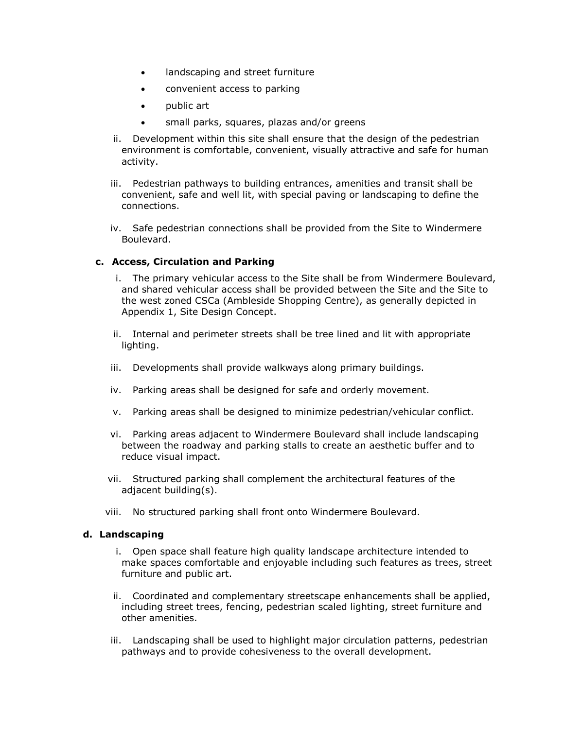- landscaping and street furniture
- convenient access to parking
- public art
- small parks, squares, plazas and/or greens
- ii. Development within this site shall ensure that the design of the pedestrian environment is comfortable, convenient, visually attractive and safe for human activity.
- iii. Pedestrian pathways to building entrances, amenities and transit shall be convenient, safe and well lit, with special paving or landscaping to define the connections.
- iv. Safe pedestrian connections shall be provided from the Site to Windermere Boulevard.

### **c. Access, Circulation and Parking**

- i. The primary vehicular access to the Site shall be from Windermere Boulevard, and shared vehicular access shall be provided between the Site and the Site to the west zoned CSCa (Ambleside Shopping Centre), as generally depicted in Appendix 1, Site Design Concept.
- ii. Internal and perimeter streets shall be tree lined and lit with appropriate lighting.
- iii. Developments shall provide walkways along primary buildings.
- iv. Parking areas shall be designed for safe and orderly movement.
- v. Parking areas shall be designed to minimize pedestrian/vehicular conflict.
- vi. Parking areas adjacent to Windermere Boulevard shall include landscaping between the roadway and parking stalls to create an aesthetic buffer and to reduce visual impact.
- vii. Structured parking shall complement the architectural features of the adjacent building(s).
- viii. No structured parking shall front onto Windermere Boulevard.

#### **d. Landscaping**

- i. Open space shall feature high quality landscape architecture intended to make spaces comfortable and enjoyable including such features as trees, street furniture and public art.
- ii. Coordinated and complementary streetscape enhancements shall be applied, including street trees, fencing, pedestrian scaled lighting, street furniture and other amenities.
- iii. Landscaping shall be used to highlight major circulation patterns, pedestrian pathways and to provide cohesiveness to the overall development.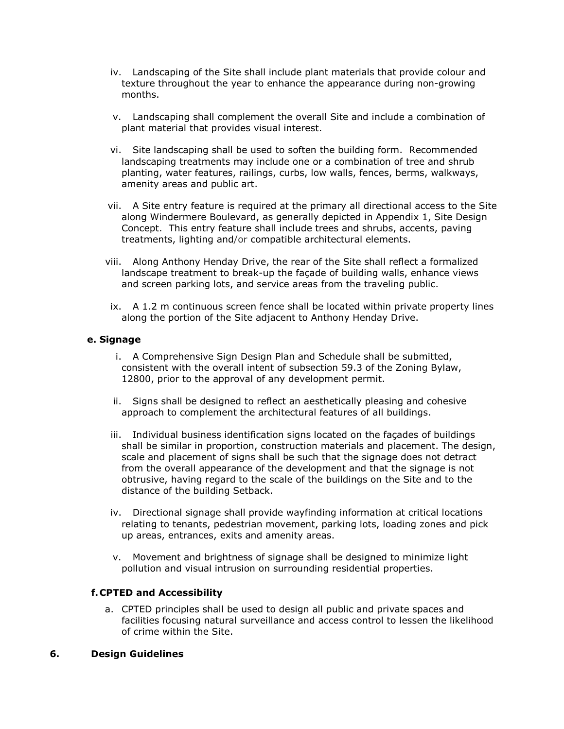- iv. Landscaping of the Site shall include plant materials that provide colour and texture throughout the year to enhance the appearance during non-growing months.
- v. Landscaping shall complement the overall Site and include a combination of plant material that provides visual interest.
- vi. Site landscaping shall be used to soften the building form. Recommended landscaping treatments may include one or a combination of tree and shrub planting, water features, railings, curbs, low walls, fences, berms, walkways, amenity areas and public art.
- vii. A Site entry feature is required at the primary all directional access to the Site along Windermere Boulevard, as generally depicted in Appendix 1, Site Design Concept. This entry feature shall include trees and shrubs, accents, paving treatments, lighting and/or compatible architectural elements.
- viii. Along Anthony Henday Drive, the rear of the Site shall reflect a formalized landscape treatment to break-up the façade of building walls, enhance views and screen parking lots, and service areas from the traveling public.
- ix. A 1.2 m continuous screen fence shall be located within private property lines along the portion of the Site adjacent to Anthony Henday Drive.

#### **e. Signage**

- i. A Comprehensive Sign Design Plan and Schedule shall be submitted, consistent with the overall intent of subsection 59.3 of the Zoning Bylaw, 12800, prior to the approval of any development permit.
- ii. Signs shall be designed to reflect an aesthetically pleasing and cohesive approach to complement the architectural features of all buildings.
- iii. Individual business identification signs located on the façades of buildings shall be similar in proportion, construction materials and placement. The design, scale and placement of signs shall be such that the signage does not detract from the overall appearance of the development and that the signage is not obtrusive, having regard to the scale of the buildings on the Site and to the distance of the building Setback.
- iv. Directional signage shall provide wayfinding information at critical locations relating to tenants, pedestrian movement, parking lots, loading zones and pick up areas, entrances, exits and amenity areas.
- v. Movement and brightness of signage shall be designed to minimize light pollution and visual intrusion on surrounding residential properties.

#### **f.CPTED and Accessibility**

a. CPTED principles shall be used to design all public and private spaces and facilities focusing natural surveillance and access control to lessen the likelihood of crime within the Site.

#### **6. Design Guidelines**